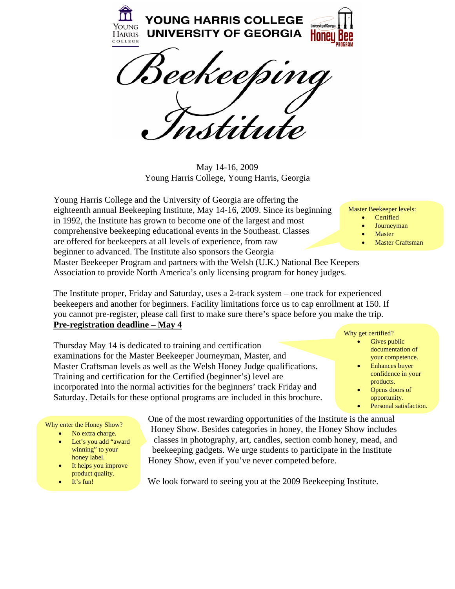

May 14-16, 2009 Young Harris College, Young Harris, Georgia

Young Harris College and the University of Georgia are offering the eighteenth annual Beekeeping Institute, May 14-16, 2009. Since its beginning in 1992, the Institute has grown to become one of the largest and most comprehensive beekeeping educational events in the Southeast. Classes are offered for beekeepers at all levels of experience, from raw beginner to advanced. The Institute also sponsors the Georgia Master Beekeeper Program and partners with the Welsh (U.K.) National Bee Keepers

Association to provide North America's only licensing program for honey judges.

The Institute proper, Friday and Saturday, uses a 2-track system – one track for experienced beekeepers and another for beginners. Facility limitations force us to cap enrollment at 150. If you cannot pre-register, please call first to make sure there's space before you make the trip. **Pre-registration deadline – May 4**

Thursday May 14 is dedicated to training and certification examinations for the Master Beekeeper Journeyman, Master, and Master Craftsman levels as well as the Welsh Honey Judge qualifications. Training and certification for the Certified (beginner's) level are incorporated into the normal activities for the beginners' track Friday and Saturday. Details for these optional programs are included in this brochure.

> One of the most rewarding opportunities of the Institute is the annual Honey Show. Besides categories in honey, the Honey Show includes classes in photography, art, candles, section comb honey, mead, and beekeeping gadgets. We urge students to participate in the Institute Honey Show, even if you've never competed before.

It's fun! We look forward to seeing you at the 2009 Beekeeping Institute.

- Master Beekeeper levels:
	- **Certified**
	- **Journeyman**
	- **Master**

Why get certified?

Gives public documentation of your competence. **Enhances** buyer confidence in your

products. Opens doors of opportunity. Personal satisfaction.

**Master Craftsman** 

- Why enter the Honey Show?
	- No extra charge.
	- Let's you add "award winning" to your honey label.
	- It helps you improve product quality.
	-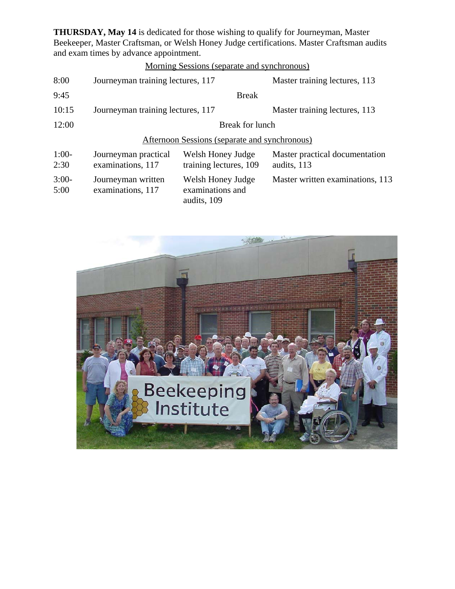**THURSDAY, May 14** is dedicated for those wishing to qualify for Journeyman, Master Beekeeper, Master Craftsman, or Welsh Honey Judge certifications. Master Craftsman audits and exam times by advance appointment.

|                                               |                                           | Morning Sessions (separate and synchronous)          |                                               |  |
|-----------------------------------------------|-------------------------------------------|------------------------------------------------------|-----------------------------------------------|--|
| 8:00                                          | Journeyman training lectures, 117         |                                                      | Master training lectures, 113                 |  |
| 9:45                                          | <b>Break</b>                              |                                                      |                                               |  |
| 10:15                                         | Journeyman training lectures, 117         |                                                      | Master training lectures, 113                 |  |
| 12:00                                         | Break for lunch                           |                                                      |                                               |  |
| Afternoon Sessions (separate and synchronous) |                                           |                                                      |                                               |  |
| $1:00-$<br>2:30                               | Journeyman practical<br>examinations, 117 | Welsh Honey Judge<br>training lectures, 109          | Master practical documentation<br>audits, 113 |  |
| $3:00-$<br>5:00                               | Journeyman written<br>examinations, 117   | Welsh Honey Judge<br>examinations and<br>audits, 109 | Master written examinations, 113              |  |

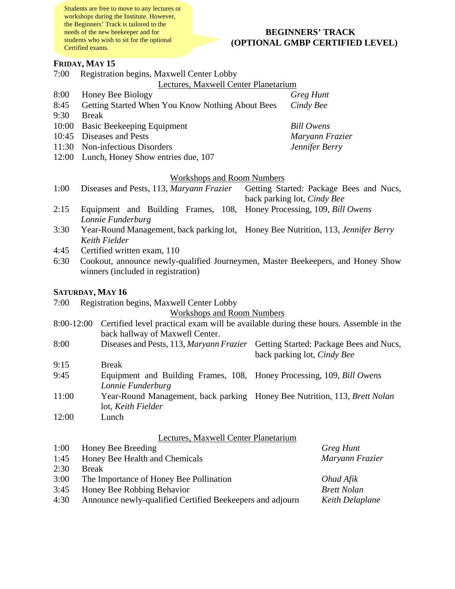Students are free to move to any lectures or workshops during the Institute. However, the Beginners' Track is tailored to the needs of the new beekeeper and for students who wish to sit for the optional Certified exams.

# **BEGINNERS' TRACK (OPTIONAL GMBP CERTIFIED LEVEL)**

#### **FRIDAY, MAY 15**

7:00 Registration begins, Maxwell Center Lobby

Lectures, Maxwell Center Planetarium

- 8:00 Honey Bee Biology *Greg Hunt*  8:45 Getting Started When You Know Nothing About Bees *Cindy Bee*
- 9:30 Break
- 10:00 Basic Beekeeping Equipment *Bill Owens*
- 10:45 Diseases and Pests *Maryann Frazier*
- 11:30 Non-infectious Disorders *Jennifer Berry*
- 12:00 Lunch, Honey Show entries due, 107

### Workshops and Room Numbers

| 1:00 | Diseases and Pests, 113, Maryann Frazier | Getting Started: Package Bees and Nucs, |
|------|------------------------------------------|-----------------------------------------|
|      |                                          | back parking lot, <i>Cindy Bee</i>      |

- 2:15 Equipment and Building Frames, 108, Honey Processing, 109, *Bill Owens Lonnie Funderburg*
- 3:30 Year-Round Management, back parking lot, Honey Bee Nutrition, 113, *Jennifer Berry Keith Fielder*
- 4:45 Certified written exam, 110
- 6:30 Cookout, announce newly-qualified Journeymen, Master Beekeepers, and Honey Show winners (included in registration)

#### **SATURDAY, MAY 16**

7:00 Registration begins, Maxwell Center Lobby

Workshops and Room Numbers

- 8:00-12:00 Certified level practical exam will be available during these hours. Assemble in the back hallway of Maxwell Center.
- 8:00 Diseases and Pests, 113, *Maryann Frazier* Getting Started: Package Bees and Nucs, back parking lot, *Cindy Bee*

## 9:15 Break

- 9:45 Equipment and Building Frames, 108, Honey Processing, 109, *Bill Owens Lonnie Funderburg*
- 11:00 Year-Round Management, back parking Honey Bee Nutrition, 113, *Brett Nolan* lot, *Keith Fielder*
- 12:00 Lunch

## Lectures, Maxwell Center Planetarium

| 1:00 | Honey Bee Breeding                                        | Greg Hunt          |
|------|-----------------------------------------------------------|--------------------|
| 1:45 | Honey Bee Health and Chemicals                            | Maryann Frazier    |
| 2:30 | Break                                                     |                    |
| 3:00 | The Importance of Honey Bee Pollination                   | Ohad Afik          |
| 3:45 | Honey Bee Robbing Behavior                                | <b>Brett Nolan</b> |
| 4:30 | Announce newly-qualified Certified Beekeepers and adjourn | Keith Delaplane    |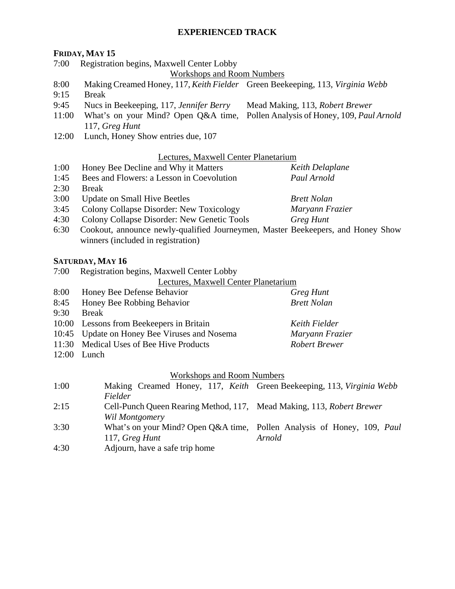### **EXPERIENCED TRACK**

#### **FRIDAY, MAY 15**

7:00 Registration begins, Maxwell Center Lobby

## Workshops and Room Numbers

- 8:00 Making Creamed Honey, 117, *Keith Fielder* Green Beekeeping, 113, *Virginia Webb*
- 9:15 Break
- 9:45 Nucs in Beekeeping, 117, *Jennifer Berry* Mead Making, 113, *Robert Brewer*
- 11:00 What's on your Mind? Open Q&A time, Pollen Analysis of Honey, 109, *Paul Arnold* 117, *Greg Hunt*
- 12:00 Lunch, Honey Show entries due, 107

#### Lectures, Maxwell Center Planetarium

- 1:00 Honey Bee Decline and Why it Matters *Keith Delaplane*  1:45 Bees and Flowers: a Lesson in Coevolution *Paul Arnold*  2:30 Break
- 3:00 Update on Small Hive Beetles *Brett Nolan*
- 3:45 Colony Collapse Disorder: New Toxicology *Maryann Frazier*
- 4:30 Colony Collapse Disorder: New Genetic Tools *Greg Hunt*
- 6:30 Cookout, announce newly-qualified Journeymen, Master Beekeepers, and Honey Show winners (included in registration)

#### **SATURDAY, MAY 16**

7:00 Registration begins, Maxwell Center Lobby

Lectures, Maxwell Center Planetarium

| 8:00  | Honey Bee Defense Behavior                   | Greg Hunt            |
|-------|----------------------------------------------|----------------------|
| 8:45  | Honey Bee Robbing Behavior                   | <b>Brett Nolan</b>   |
| 9:30  | <b>Break</b>                                 |                      |
|       | 10:00 Lessons from Beekeepers in Britain     | Keith Fielder        |
|       | 10:45 Update on Honey Bee Viruses and Nosema | Maryann Frazier      |
|       | 11:30 Medical Uses of Bee Hive Products      | <b>Robert Brewer</b> |
| 12:00 | Lunch                                        |                      |

#### Workshops and Room Numbers

| 1:00 | Making Creamed Honey, 117, Keith Green Beekeeping, 113, Virginia Webb |                                                                         |
|------|-----------------------------------------------------------------------|-------------------------------------------------------------------------|
|      | Fielder                                                               |                                                                         |
| 2:15 | Cell-Punch Queen Rearing Method, 117, Mead Making, 113, Robert Brewer |                                                                         |
|      | Wil Montgomery                                                        |                                                                         |
| 3:30 |                                                                       | What's on your Mind? Open Q&A time, Pollen Analysis of Honey, 109, Paul |
|      | 117, Greg Hunt                                                        | Arnold                                                                  |
| 4:30 | Adjourn, have a safe trip home                                        |                                                                         |
|      |                                                                       |                                                                         |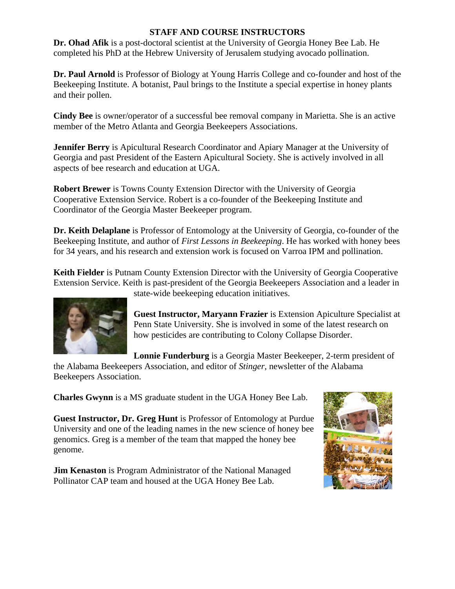# **STAFF AND COURSE INSTRUCTORS**

**Dr. Ohad Afik** is a post-doctoral scientist at the University of Georgia Honey Bee Lab. He completed his PhD at the Hebrew University of Jerusalem studying avocado pollination.

**Dr. Paul Arnold** is Professor of Biology at Young Harris College and co-founder and host of the Beekeeping Institute. A botanist, Paul brings to the Institute a special expertise in honey plants and their pollen.

**Cindy Bee** is owner/operator of a successful bee removal company in Marietta. She is an active member of the Metro Atlanta and Georgia Beekeepers Associations.

**Jennifer Berry** is Apicultural Research Coordinator and Apiary Manager at the University of Georgia and past President of the Eastern Apicultural Society. She is actively involved in all aspects of bee research and education at UGA.

**Robert Brewer** is Towns County Extension Director with the University of Georgia Cooperative Extension Service. Robert is a co-founder of the Beekeeping Institute and Coordinator of the Georgia Master Beekeeper program.

**Dr. Keith Delaplane** is Professor of Entomology at the University of Georgia, co-founder of the Beekeeping Institute, and author of *First Lessons in Beekeeping*. He has worked with honey bees for 34 years, and his research and extension work is focused on Varroa IPM and pollination.

**Keith Fielder** is Putnam County Extension Director with the University of Georgia Cooperative Extension Service. Keith is past-president of the Georgia Beekeepers Association and a leader in



state-wide beekeeping education initiatives.

**Guest Instructor, Maryann Frazier** is Extension Apiculture Specialist at Penn State University. She is involved in some of the latest research on how pesticides are contributing to Colony Collapse Disorder.

**Lonnie Funderburg** is a Georgia Master Beekeeper, 2-term president of

the Alabama Beekeepers Association, and editor of *Stinger*, newsletter of the Alabama Beekeepers Association.

**Charles Gwynn** is a MS graduate student in the UGA Honey Bee Lab.

**Guest Instructor, Dr. Greg Hunt** is Professor of Entomology at Purdue University and one of the leading names in the new science of honey bee genomics. Greg is a member of the team that mapped the honey bee genome.

**Jim Kenaston** is Program Administrator of the National Managed Pollinator CAP team and housed at the UGA Honey Bee Lab.

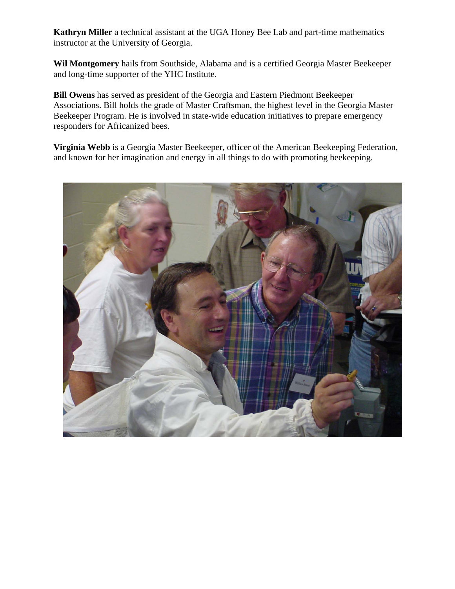**Kathryn Miller** a technical assistant at the UGA Honey Bee Lab and part-time mathematics instructor at the University of Georgia.

**Wil Montgomery** hails from Southside, Alabama and is a certified Georgia Master Beekeeper and long-time supporter of the YHC Institute.

**Bill Owens** has served as president of the Georgia and Eastern Piedmont Beekeeper Associations. Bill holds the grade of Master Craftsman, the highest level in the Georgia Master Beekeeper Program. He is involved in state-wide education initiatives to prepare emergency responders for Africanized bees.

**Virginia Webb** is a Georgia Master Beekeeper, officer of the American Beekeeping Federation, and known for her imagination and energy in all things to do with promoting beekeeping.

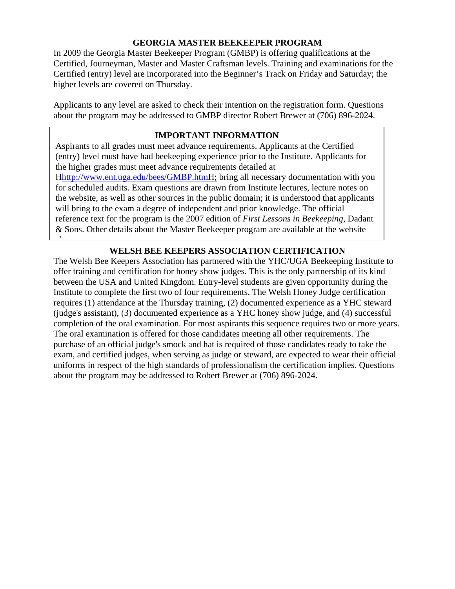## **GEORGIA MASTER BEEKEEPER PROGRAM**

In 2009 the Georgia Master Beekeeper Program (GMBP) is offering qualifications at the Certified, Journeyman, Master and Master Craftsman levels. Training and examinations for the Certified (entry) level are incorporated into the Beginner's Track on Friday and Saturday; the higher levels are covered on Thursday.

Applicants to any level are asked to check their intention on the registration form. Questions about the program may be addressed to GMBP director Robert Brewer at (706) 896-2024.

## **IMPORTANT INFORMATION**

Aspirants to all grades must meet advance requirements. Applicants at the Certified (entry) level must have had beekeeping experience prior to the Institute. Applicants for the higher grades must meet advance requirements detailed at

Hhttp://www.ent.uga.edu/bees/GMBP.htmH; bring all necessary documentation with you for scheduled audits. Exam questions are drawn from Institute lectures, lecture notes on the website, as well as other sources in the public domain; it is understood that applicants will bring to the exam a degree of independent and prior knowledge. The official reference text for the program is the 2007 edition of *First Lessons in Beekeeping*, Dadant & Sons. Other details about the Master Beekeeper program are available at the website

 $\overline{\phantom{a}}$ 

## **WELSH BEE KEEPERS ASSOCIATION CERTIFICATION**

The Welsh Bee Keepers Association has partnered with the YHC/UGA Beekeeping Institute to offer training and certification for honey show judges. This is the only partnership of its kind between the USA and United Kingdom. Entry-level students are given opportunity during the Institute to complete the first two of four requirements. The Welsh Honey Judge certification requires (1) attendance at the Thursday training, (2) documented experience as a YHC steward (judge's assistant), (3) documented experience as a YHC honey show judge, and (4) successful completion of the oral examination. For most aspirants this sequence requires two or more years. The oral examination is offered for those candidates meeting all other requirements. The purchase of an official judge's smock and hat is required of those candidates ready to take the exam, and certified judges, when serving as judge or steward, are expected to wear their official uniforms in respect of the high standards of professionalism the certification implies. Questions about the program may be addressed to Robert Brewer at (706) 896-2024.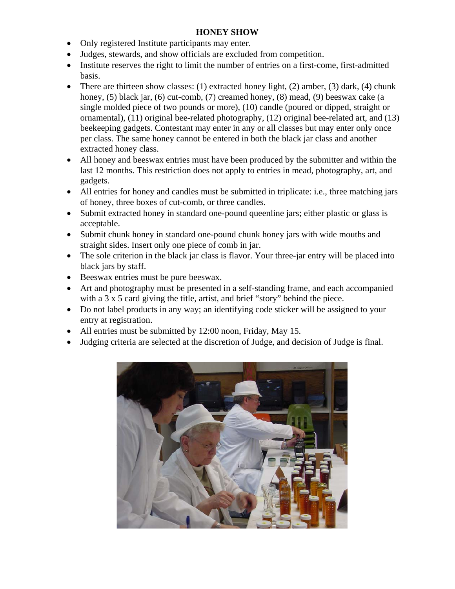## **HONEY SHOW**

- Only registered Institute participants may enter.
- Judges, stewards, and show officials are excluded from competition.
- Institute reserves the right to limit the number of entries on a first-come, first-admitted basis.
- There are thirteen show classes: (1) extracted honey light, (2) amber, (3) dark, (4) chunk honey, (5) black jar, (6) cut-comb, (7) creamed honey, (8) mead, (9) beeswax cake (a single molded piece of two pounds or more), (10) candle (poured or dipped, straight or ornamental), (11) original bee-related photography, (12) original bee-related art, and (13) beekeeping gadgets. Contestant may enter in any or all classes but may enter only once per class. The same honey cannot be entered in both the black jar class and another extracted honey class.
- All honey and beeswax entries must have been produced by the submitter and within the last 12 months. This restriction does not apply to entries in mead, photography, art, and gadgets.
- All entries for honey and candles must be submitted in triplicate: i.e., three matching jars of honey, three boxes of cut-comb, or three candles.
- Submit extracted honey in standard one-pound queenline jars; either plastic or glass is acceptable.
- Submit chunk honey in standard one-pound chunk honey jars with wide mouths and straight sides. Insert only one piece of comb in jar.
- The sole criterion in the black jar class is flavor. Your three-jar entry will be placed into black jars by staff.
- Beeswax entries must be pure beeswax.
- Art and photography must be presented in a self-standing frame, and each accompanied with a 3 x 5 card giving the title, artist, and brief "story" behind the piece.
- Do not label products in any way; an identifying code sticker will be assigned to your entry at registration.
- All entries must be submitted by 12:00 noon, Friday, May 15.
- Judging criteria are selected at the discretion of Judge, and decision of Judge is final.